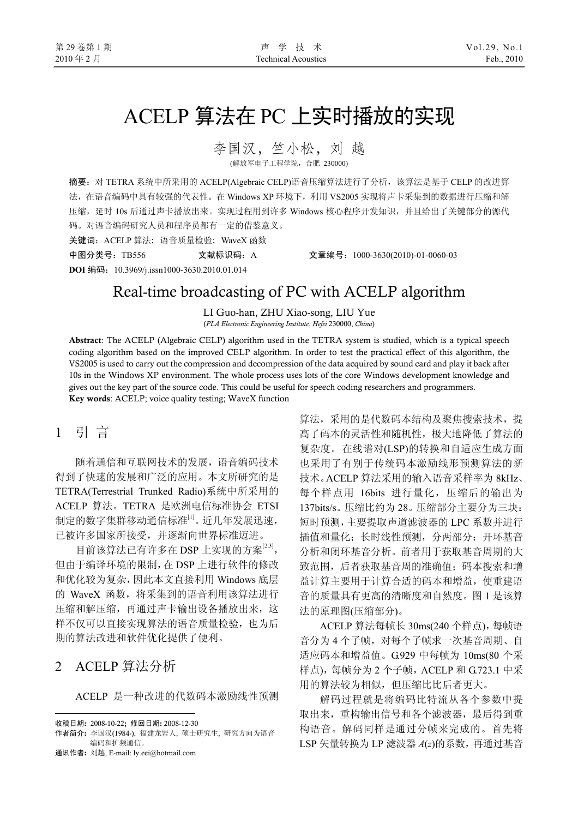# ACELP 算法在 PC 上实时播放的实现

李国汉,竺小松,刘 越 (解放军电子工程学院,合肥 230000)

摘要:对 TETRA 系统中所采用的 ACELP(Algebraic CELP)语音压缩算法进行了分析,该算法是基于 CELP 的改进算 法, 在语音编码中具有较强的代表性。在 Windows XP 环境下, 利用 VS2005 实现将声卡采集到的数据进行压缩和解 压缩,延时 10s 后通过声卡播放出来。实现过程用到许多 Windows 核心程序开发知识,并且给出了关键部分的源代 码。对语音编码研究人员和程序员都有一定的借鉴意义。 关键词: ACELP 算法; 语音质量检验; WaveX 函数

**DOI** 编码:10.3969/j.issn1000-3630.2010.01.014

中图分类号:TB556 文献标识码:A 文章编号:1000-3630(2010)-01-0060-03

## Real-time broadcasting of PC with ACELP algorithm

LI Guo-han, ZHU Xiao-song, LIU Yue

(*PLA Electronic Engineering Institute*, *Hefei* 230000, *China*)

Abstract: The ACELP (Algebraic CELP) algorithm used in the TETRA system is studied, which is a typical speech coding algorithm based on the improved CELP algorithm. In order to test the practical effect of this algorithm, the VS2005 is used to carry out the compression and decompression of the data acquired by sound card and play it back after 10s in the Windows XP environment. The whole process uses lots of the core Windows development knowledge and gives out the key part of the source code. This could be useful for speech coding researchers and programmers. Key words: ACELP; voice quality testing; WaveX function

### 1 引 言

随着通信和互联网技术的发展,语音编码技术 得到了快速的发展和广泛的应用。本文所研究的是 TETRA(Terrestrial Trunked Radio)系统中所采用的 ACELP 算法。TETRA 是欧洲电信标准协会 ETSI 制定的数字集群移动通信标准[1]。近几年发展迅速, 已被许多国家所接受,并逐渐向世界标准迈进。

目前该算法已有许多在 DSP 上实现的方案<sup>[2,3]</sup>, 但由于编译环境的限制,在 DSP 上进行软件的修改 和优化较为复杂,因此本文直接利用 Windows 底层 的 WaveX 函数,将采集到的语音利用该算法进行 压缩和解压缩,再通过声卡输出设备播放出来,这 样不仅可以直接实现算法的语音质量检验,也为后 期的算法改进和软件优化提供了便利。

### 2 ACELP 算法分析

 $\overline{a}$ 

ACELP 是一种改进的代数码本激励线性预测

算法,采用的是代数码本结构及聚焦搜索技术,提 高了码本的灵活性和随机性,极大地降低了算法的 复杂度。在线谱对(LSP)的转换和自适应生成方面 也采用了有别于传统码本激励线形预测算法的新 技术。ACELP 算法采用的输入语音采样率为 8kHz、 每个样点用 16bits 进行量化,压缩后的输出为 137bits/s。压缩比约为 28。压缩部分主要分为三块: 短时预测,主要提取声道滤波器的 LPC 系数并进行 插值和量化;长时线性预测,分两部分:开环基音 分析和闭环基音分析。前者用于获取基音周期的大 致范围,后者获取基音周的准确值;码本搜索和增 益计算主要用于计算合适的码本和增益,使重建语 音的质量具有更高的清晰度和自然度。图 1 是该算 法的原理图(压缩部分)。

ACELP 算法每帧长 30ms(240 个样点),每帧语 音分为 4 个子帧,对每个子帧求一次基音周期、自 适应码本和增益值。G.929 中每帧为 10ms(80 个采 样点),每帧分为 2 个子帧,ACELP 和 G.723.1 中采 用的算法较为相似,但压缩比比后者更大。

解码过程就是将编码比特流从各个参数中提 取出来,重构输出信号和各个滤波器,最后得到重 构语音。解码同样是通过分帧来完成的。首先将 LSP 矢量转换为 LP 滤波器 *A*(*z*)的系数,再通过基音

收稿日期: 2008-10-22; 修回日期: 2008-12-30

作者简介: 李国汉(1984-), 福建龙岩人, 硕士研究生, 研究方向为语音 编码和扩频通信。

通讯作者: 刘越, E-mail: ly.eei@hotmail.com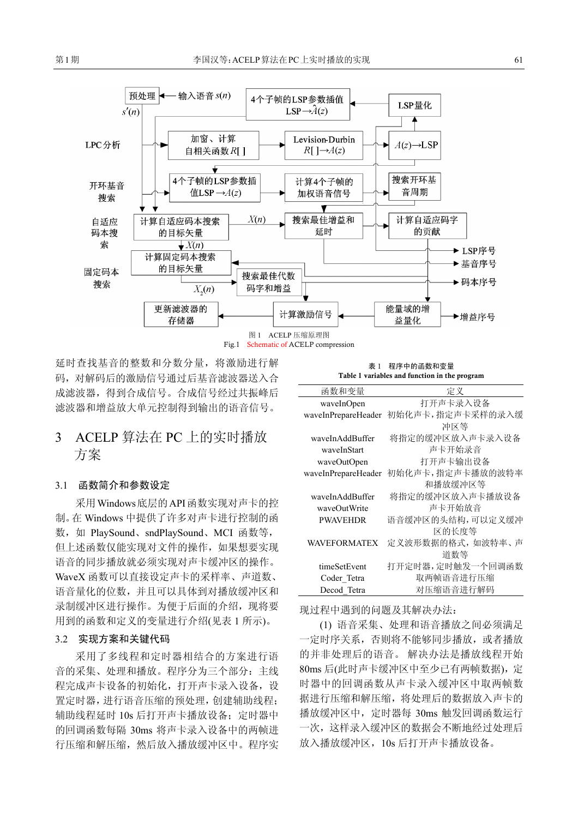

延时查找基音的整数和分数分量,将激励进行解 码,对解码后的激励信号通过后基音滤波器送入合 成滤波器,得到合成信号。合成信号经过共振峰后 滤波器和增益放大单元控制得到输出的语音信号。

### 3 ACELP 算法在 PC 上的实时播放 方案

#### 3.1 函数简介和参数设定

采用Windows底层的API函数实现对声卡的控 制。在 Windows 中提供了许多对声卡进行控制的函 数,如 PlaySound、sndPlaySound、MCI 函数等, 但上述函数仅能实现对文件的操作,如果想要实现 语音的同步播放就必须实现对声卡缓冲区的操作。 WaveX 函数可以直接设定声卡的采样率、声道数、 语音量化的位数,并且可以具体到对播放缓冲区和 录制缓冲区进行操作。为便于后面的介绍, 现将要 用到的函数和定义的变量进行介绍(见表 1 所示)。

#### 3.2 实现方案和关键代码

采用了多线程和定时器相结合的方案进行语 音的采集、处理和播放。程序分为三个部分:主线 程完成声卡设备的初始化,打开声卡录入设备,设 置定时器,进行语音压缩的预处理,创建辅助线程; 辅助线程延时 10s 后打开声卡播放设备;定时器中 的回调函数每隔 30ms 将声卡录入设备中的两帧进 行压缩和解压缩,然后放入播放缓冲区中。程序实

表 1 程序中的函数和变量 Table 1 variables and function in the program

| 函数和变量               | 定义               |
|---------------------|------------------|
| waveInOpen          | 打开声卡录入设备         |
| waveInPrepareHeader | 初始化声卡,指定声卡采样的录入缓 |
|                     | 冲区等              |
| waveInAddBuffer     | 将指定的缓冲区放入声卡录入设备  |
| waveInStart         | 声卡开始录音           |
| waveOutOpen         | 打开声卡输出设备         |
| waveInPrepareHeader | 初始化声卡,指定声卡播放的波特率 |
|                     | 和播放缓冲区等          |
| waveInAddBuffer     | 将指定的缓冲区放入声卡播放设备  |
| waveOutWrite        | 声卡开始放音           |
| <b>PWAVEHDR</b>     | 语音缓冲区的头结构,可以定义缓冲 |
|                     | 区的长度等            |
| WAVEFORMATEX        | 定义波形数据的格式,如波特率、声 |
|                     | 道数等              |
| timeSetEvent        | 打开定时器,定时触发一个回调函数 |
| Coder Tetra         | 取两帧语音进行压缩        |
| Decod Tetra         | 对压缩语音进行解码        |

现过程中遇到的问题及其解决办法:

(1) 语音采集、处理和语音播放之间必须满足 一定时序关系,否则将不能够同步播放,或者播放 的并非处理后的语音。 解决办法是播放线程开始 80ms 后(此时声卡缓冲区中至少已有两帧数据),定 时器中的回调函数从声卡录入缓冲区中取两帧数 据进行压缩和解压缩,将处理后的数据放入声卡的 播放缓冲区中,定时器每 30ms 触发回调函数运行 一次,这样录入缓冲区的数据会不断地经过处理后 放入播放缓冲区,10s 后打开声卡播放设备。